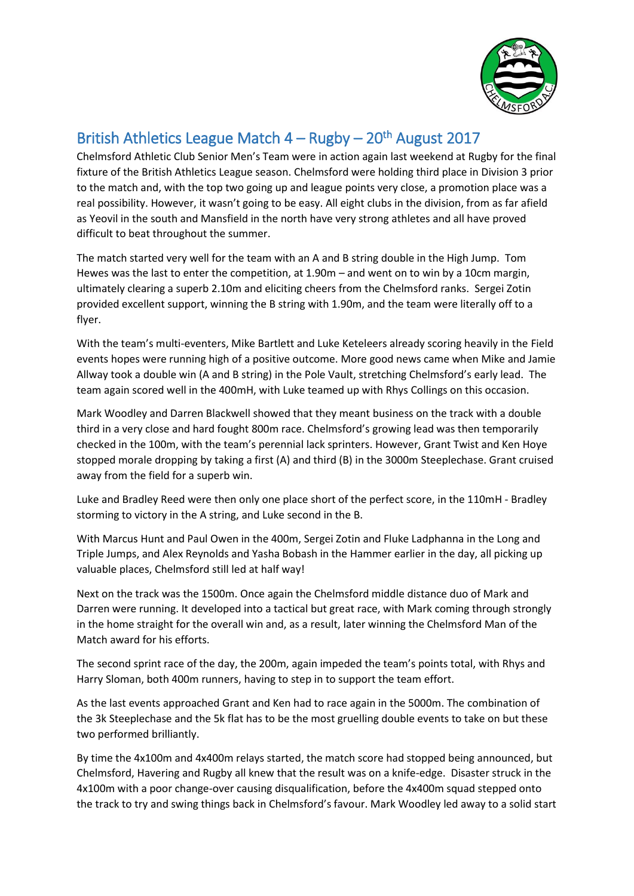

## British Athletics League Match 4 - Rugby - 20<sup>th</sup> August 2017

Chelmsford Athletic Club Senior Men's Team were in action again last weekend at Rugby for the final fixture of the British Athletics League season. Chelmsford were holding third place in Division 3 prior to the match and, with the top two going up and league points very close, a promotion place was a real possibility. However, it wasn't going to be easy. All eight clubs in the division, from as far afield as Yeovil in the south and Mansfield in the north have very strong athletes and all have proved difficult to beat throughout the summer.

The match started very well for the team with an A and B string double in the High Jump. Tom Hewes was the last to enter the competition, at 1.90m – and went on to win by a 10cm margin, ultimately clearing a superb 2.10m and eliciting cheers from the Chelmsford ranks. Sergei Zotin provided excellent support, winning the B string with 1.90m, and the team were literally off to a flyer.

With the team's multi-eventers, Mike Bartlett and Luke Keteleers already scoring heavily in the Field events hopes were running high of a positive outcome. More good news came when Mike and Jamie Allway took a double win (A and B string) in the Pole Vault, stretching Chelmsford's early lead. The team again scored well in the 400mH, with Luke teamed up with Rhys Collings on this occasion.

Mark Woodley and Darren Blackwell showed that they meant business on the track with a double third in a very close and hard fought 800m race. Chelmsford's growing lead was then temporarily checked in the 100m, with the team's perennial lack sprinters. However, Grant Twist and Ken Hoye stopped morale dropping by taking a first (A) and third (B) in the 3000m Steeplechase. Grant cruised away from the field for a superb win.

Luke and Bradley Reed were then only one place short of the perfect score, in the 110mH - Bradley storming to victory in the A string, and Luke second in the B.

With Marcus Hunt and Paul Owen in the 400m, Sergei Zotin and Fluke Ladphanna in the Long and Triple Jumps, and Alex Reynolds and Yasha Bobash in the Hammer earlier in the day, all picking up valuable places, Chelmsford still led at half way!

Next on the track was the 1500m. Once again the Chelmsford middle distance duo of Mark and Darren were running. It developed into a tactical but great race, with Mark coming through strongly in the home straight for the overall win and, as a result, later winning the Chelmsford Man of the Match award for his efforts.

The second sprint race of the day, the 200m, again impeded the team's points total, with Rhys and Harry Sloman, both 400m runners, having to step in to support the team effort.

As the last events approached Grant and Ken had to race again in the 5000m. The combination of the 3k Steeplechase and the 5k flat has to be the most gruelling double events to take on but these two performed brilliantly.

By time the 4x100m and 4x400m relays started, the match score had stopped being announced, but Chelmsford, Havering and Rugby all knew that the result was on a knife-edge. Disaster struck in the 4x100m with a poor change-over causing disqualification, before the 4x400m squad stepped onto the track to try and swing things back in Chelmsford's favour. Mark Woodley led away to a solid start